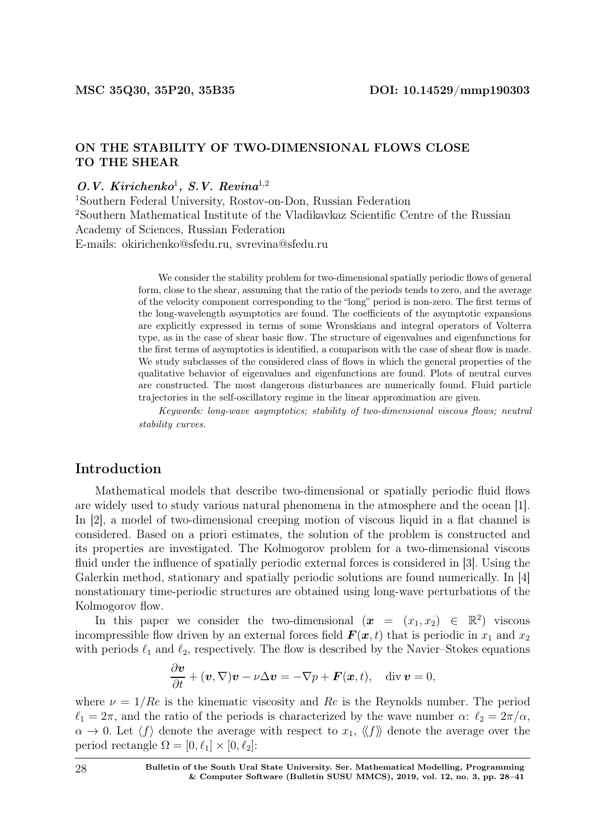### ON THE STABILITY OF TWO-DIMENSIONAL FLOWS CLOSE TO THE SHEAR

### $O.V.$  Kirichenko<sup>1</sup>, S.V. Revina<sup>1,2</sup>

<sup>1</sup>Southern Federal University, Rostov-on-Don, Russian Federation <sup>2</sup>Southern Mathematical Institute оf the Vladikavkaz Scientific Centre of the Russian Academy of Sciences, Russian Federation E-mails: okirichenko@sfedu.ru, svrevina@sfedu.ru

> We consider the stability problem for two-dimensional spatially periodic flows of general form, close to the shear, assuming that the ratio of the periods tends to zero, and the average of the velocity component corresponding to the "long" period is non-zero. The first terms of the long-wavelength asymptotics are found. The coefficients of the asymptotic expansions are explicitly expressed in terms of some Wronskians and integral operators of Volterra type, as in the case of shear basic flow. The structure of eigenvalues and eigenfunctions for the first terms of asymptotics is identified, a comparison with the case of shear flow is made. We study subclasses of the considered class of flows in which the general properties of the qualitative behavior of eigenvalues and eigenfunctions are found. Plots of neutral curves are constructed. The most dangerous disturbances are numerically found. Fluid particle trajectories in the self-oscillatory regime in the linear approximation are given.

> Keywords: long-wave asymptotics; stability of two-dimensional viscous flows; neutral stability curves.

### Introduction

Mathematical models that describe two-dimensional or spatially periodic fluid flows are widely used to study various natural phenomena in the atmosphere and the ocean [1]. In [2], a model of two-dimensional creeping motion of viscous liquid in a flat channel is considered. Based on a priori estimates, the solution of the problem is constructed and its properties are investigated. The Kolmogorov problem for a two-dimensional viscous fluid under the influence of spatially periodic external forces is considered in [3]. Using the Galerkin method, stationary and spatially periodic solutions are found numerically. In [4] nonstationary time-periodic structures are obtained using long-wave perturbations of the Kolmogorov flow.

In this paper we consider the two-dimensional  $(x = (x_1, x_2) \in \mathbb{R}^2)$  viscous incompressible flow driven by an external forces field  $\bm{F}(\bm{x}, t)$  that is periodic in  $x_1$  and  $x_2$ with periods  $\ell_1$  and  $\ell_2$ , respectively. The flow is described by the Navier–Stokes equations

$$
\frac{\partial \boldsymbol{v}}{\partial t} + (\boldsymbol{v}, \nabla) \boldsymbol{v} - \nu \Delta \boldsymbol{v} = -\nabla p + \boldsymbol{F}(\boldsymbol{x}, t), \quad \text{div } \boldsymbol{v} = 0,
$$

where  $\nu = 1/Re$  is the kinematic viscosity and Re is the Reynolds number. The period  $\ell_1 = 2\pi$ , and the ratio of the periods is characterized by the wave number  $\alpha$ :  $\ell_2 = 2\pi/\alpha$ ,  $\alpha \to 0$ . Let  $\langle f \rangle$  denote the average with respect to  $x_1, \langle f \rangle$  denote the average over the period rectangle  $\Omega = [0, \ell_1] \times [0, \ell_2]$ :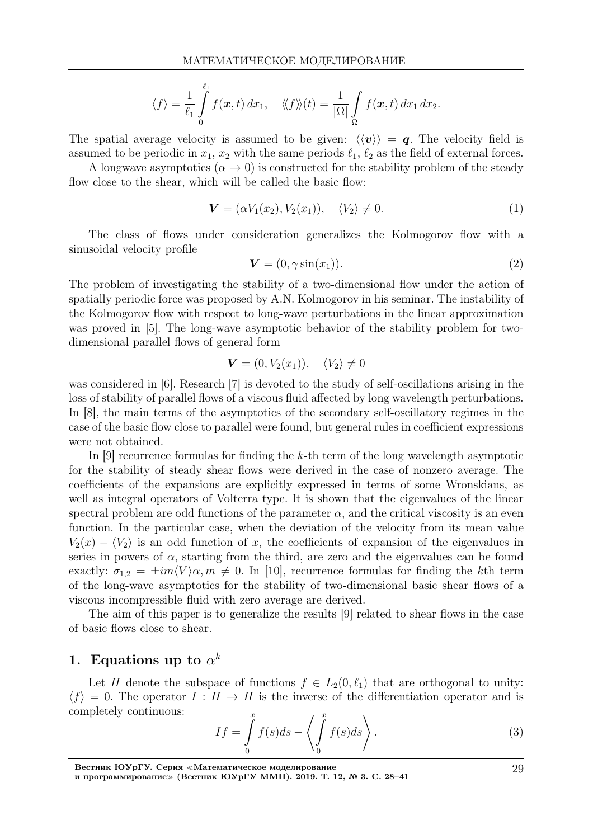$$
\langle f \rangle = \frac{1}{\ell_1} \int\limits_0^{\ell_1} f(\boldsymbol{x},t) \, dx_1, \quad \langle \langle f \rangle \rangle(t) = \frac{1}{|\Omega|} \int\limits_\Omega f(\boldsymbol{x},t) \, dx_1 \, dx_2.
$$

The spatial average velocity is assumed to be given:  $\langle \langle v \rangle \rangle = q$ . The velocity field is assumed to be periodic in  $x_1, x_2$  with the same periods  $\ell_1, \ell_2$  as the field of external forces.

A longwave asymptotics  $(\alpha \to 0)$  is constructed for the stability problem of the steady flow close to the shear, which will be called the basic flow:

$$
\mathbf{V} = (\alpha V_1(x_2), V_2(x_1)), \quad \langle V_2 \rangle \neq 0. \tag{1}
$$

The class of flows under consideration generalizes the Kolmogorov flow with a sinusoidal velocity profile

$$
\mathbf{V} = (0, \gamma \sin(x_1)).\tag{2}
$$

The problem of investigating the stability of a two-dimensional flow under the action of spatially periodic force was proposed by A.N. Kolmogorov in his seminar. The instability of the Kolmogorov flow with respect to long-wave perturbations in the linear approximation was proved in [5]. The long-wave asymptotic behavior of the stability problem for twodimensional parallel flows of general form

$$
\mathbf{V} = (0, V_2(x_1)), \quad \langle V_2 \rangle \neq 0
$$

was considered in [6]. Research [7] is devoted to the study of self-oscillations arising in the loss of stability of parallel flows of a viscous fluid affected by long wavelength perturbations. In [8], the main terms of the asymptotics of the secondary self-oscillatory regimes in the case of the basic flow close to parallel were found, but general rules in coefficient expressions were not obtained.

In  $[9]$  recurrence formulas for finding the k-th term of the long wavelength asymptotic for the stability of steady shear flows were derived in the case of nonzero average. The coefficients of the expansions are explicitly expressed in terms of some Wronskians, as well as integral operators of Volterra type. It is shown that the eigenvalues of the linear spectral problem are odd functions of the parameter  $\alpha$ , and the critical viscosity is an even function. In the particular case, when the deviation of the velocity from its mean value  $V_2(x) - \langle V_2 \rangle$  is an odd function of x, the coefficients of expansion of the eigenvalues in series in powers of  $\alpha$ , starting from the third, are zero and the eigenvalues can be found exactly:  $\sigma_{1,2} = \pm im\langle V\rangle \alpha, m \neq 0$ . In [10], recurrence formulas for finding the kth term of the long-wave asymptotics for the stability of two-dimensional basic shear flows of a viscous incompressible fluid with zero average are derived.

The aim of this paper is to generalize the results [9] related to shear flows in the case of basic flows close to shear.

# 1. Equations up to  $\alpha^k$

Let H denote the subspace of functions  $f \in L_2(0, \ell_1)$  that are orthogonal to unity:  $\langle f \rangle = 0$ . The operator  $I : H \to H$  is the inverse of the differentiation operator and is completely continuous:

$$
If = \int_{0}^{x} f(s)ds - \left\langle \int_{0}^{x} f(s)ds \right\rangle.
$$
 (3)

29

Вестник ЮУрГУ. Серия <sup>≪</sup>Математическое моделирование

и программирование<sup>≫</sup> (Вестник ЮУрГУ ММП). 2019. Т. 12, № 3. С. 28–41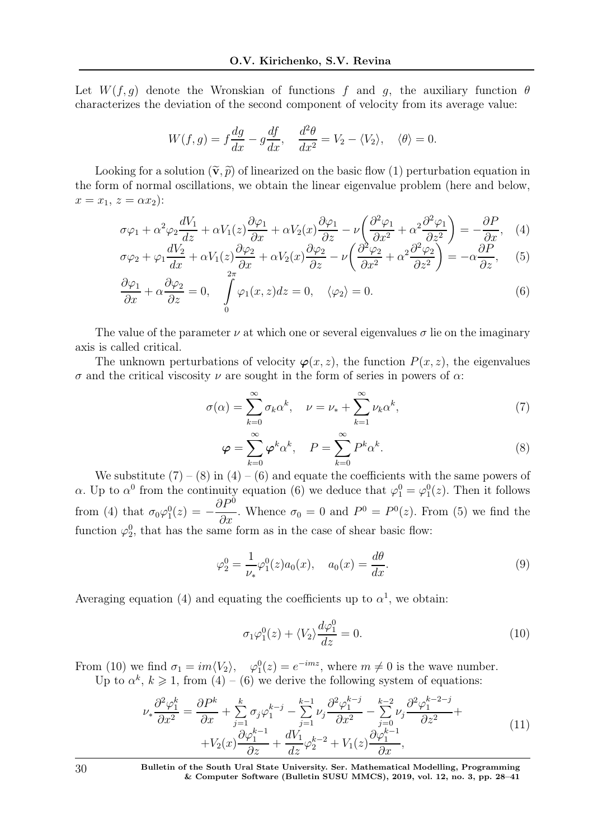Let  $W(f, g)$  denote the Wronskian of functions f and g, the auxiliary function  $\theta$ characterizes the deviation of the second component of velocity from its average value:

$$
W(f,g) = f\frac{dg}{dx} - g\frac{df}{dx}, \quad \frac{d^2\theta}{dx^2} = V_2 - \langle V_2 \rangle, \quad \langle \theta \rangle = 0.
$$

Looking for a solution  $(\tilde{\mathbf{v}}, \tilde{p})$  of linearized on the basic flow (1) perturbation equation in the form of normal oscillations, we obtain the linear eigenvalue problem (here and below,  $x = x_1, z = \alpha x_2$ :

$$
\sigma\varphi_1 + \alpha^2\varphi_2 \frac{dV_1}{dz} + \alpha V_1(z)\frac{\partial\varphi_1}{\partial x} + \alpha V_2(x)\frac{\partial\varphi_1}{\partial z} - \nu\left(\frac{\partial^2\varphi_1}{\partial x^2} + \alpha^2\frac{\partial^2\varphi_1}{\partial z^2}\right) = -\frac{\partial P}{\partial x}, \quad (4)
$$
  

$$
\frac{dV_2}{dz} = -\frac{\partial\varphi_2}{\partial x} + \frac{\partial\varphi_2}{\partial z} - \frac{\partial\varphi_2}{\partial z} - \frac{\partial^2\varphi_2}{\partial z^2} - \frac{\partial^2\varphi_2}{\partial z^2} - \frac{\partial^2\varphi_2}{\partial z^2} - \frac{\partial^2\varphi_2}{\partial z^2} - \frac{\partial^2\varphi_2}{\partial z^2} - \frac{\partial^2\varphi_2}{\partial z^2} - \frac{\partial^2\varphi_2}{\partial z^2} - \frac{\partial^2\varphi_2}{\partial z^2} - \frac{\partial^2\varphi_2}{\partial z^2} - \frac{\partial^2\varphi_2}{\partial z^2} - \frac{\partial^2\varphi_2}{\partial z^2} - \frac{\partial^2\varphi_2}{\partial z^2} - \frac{\partial^2\varphi_2}{\partial z^2} - \frac{\partial^2\varphi_2}{\partial z^2} - \frac{\partial^2\varphi_2}{\partial z^2} - \frac{\partial^2\varphi_2}{\partial z^2} - \frac{\partial^2\varphi_2}{\partial z^2} - \frac{\partial^2\varphi_2}{\partial z^2} - \frac{\partial^2\varphi_2}{\partial z^2} - \frac{\partial^2\varphi_2}{\partial z^2} - \frac{\partial^2\varphi_2}{\partial z^2} - \frac{\partial^2\varphi_2}{\partial z^2} - \frac{\partial^2\varphi_2}{\partial z^2} - \frac{\partial^2\varphi_2}{\partial z^2} - \frac{\partial^2\varphi_2}{\partial z^2} - \frac{\partial^2\varphi_2}{\partial z^2} - \frac{\partial^2\varphi_2}{\partial z^2} - \frac{\partial^2\varphi_2}{\partial z^2} - \frac{\partial^2\varphi_2}{\partial z^2} - \frac{\partial^2\varphi_
$$

$$
\sigma\varphi_2 + \varphi_1 \frac{dV_2}{dx} + \alpha V_1(z) \frac{\partial \varphi_2}{\partial x} + \alpha V_2(x) \frac{\partial \varphi_2}{\partial z} - \nu \left( \frac{\partial^2 \varphi_2}{\partial x^2} + \alpha^2 \frac{\partial^2 \varphi_2}{\partial z^2} \right) = -\alpha \frac{\partial P}{\partial z}, \quad (5)
$$

$$
\frac{\partial \varphi_1}{\partial x} + \alpha \frac{\partial \varphi_2}{\partial z} = 0, \quad \int_0^1 \varphi_1(x, z) dz = 0, \quad \langle \varphi_2 \rangle = 0. \tag{6}
$$

The value of the parameter  $\nu$  at which one or several eigenvalues  $\sigma$  lie on the imaginary axis is called critical.

The unknown perturbations of velocity  $\varphi(x, z)$ , the function  $P(x, z)$ , the eigenvalues σ and the critical viscosity ν are sought in the form of series in powers of α:

$$
\sigma(\alpha) = \sum_{k=0}^{\infty} \sigma_k \alpha^k, \quad \nu = \nu_* + \sum_{k=1}^{\infty} \nu_k \alpha^k,
$$
\n(7)

$$
\varphi = \sum_{k=0}^{\infty} \varphi^k \alpha^k, \quad P = \sum_{k=0}^{\infty} P^k \alpha^k.
$$
 (8)

We substitute  $(7) - (8)$  in  $(4) - (6)$  and equate the coefficients with the same powers of α. Up to  $\alpha^0$  from the continuity equation (6) we deduce that  $\varphi_1^0 = \varphi_1^0(z)$ . Then it follows from (4) that  $\sigma_0 \varphi_1^0(z) = \partial P^0$  $\frac{\partial I}{\partial x}$ . Whence  $\sigma_0 = 0$  and  $P^0 = P^0(z)$ . From (5) we find the function  $\varphi_2^0$ , that has the same form as in the case of shear basic flow:

$$
\varphi_2^0 = \frac{1}{\nu_*} \varphi_1^0(z) a_0(x), \quad a_0(x) = \frac{d\theta}{dx}.
$$
 (9)

Averaging equation (4) and equating the coefficients up to  $\alpha^1$ , we obtain:

$$
\sigma_1 \varphi_1^0(z) + \langle V_2 \rangle \frac{d\varphi_1^0}{dz} = 0. \tag{10}
$$

From (10) we find  $\sigma_1 = im \langle V_2 \rangle$ ,  $\varphi_1^0(z) = e^{-imz}$ , where  $m \neq 0$  is the wave number. Up to  $\alpha^k$ ,  $k \geq 1$ , from  $(4) - (6)$  we derive the following system of equations:

$$
\nu_{*} \frac{\partial^{2} \varphi_{1}^{k}}{\partial x^{2}} = \frac{\partial P^{k}}{\partial x} + \sum_{j=1}^{k} \sigma_{j} \varphi_{1}^{k-j} - \sum_{j=1}^{k-1} \nu_{j} \frac{\partial^{2} \varphi_{1}^{k-j}}{\partial x^{2}} - \sum_{j=0}^{k-2} \nu_{j} \frac{\partial^{2} \varphi_{1}^{k-2-j}}{\partial z^{2}} + \\ + V_{2}(x) \frac{\partial \varphi_{1}^{k-1}}{\partial z} + \frac{dV_{1}}{dz} \varphi_{2}^{k-2} + V_{1}(z) \frac{\partial \varphi_{1}^{k-1}}{\partial x}, \tag{11}
$$

30 Bulletin of the South Ural State University. Ser. Mathematical Modelling, Programming & Computer Software (Bulletin SUSU MMCS), 2019, vol. 12, no. 3, pp. 28–41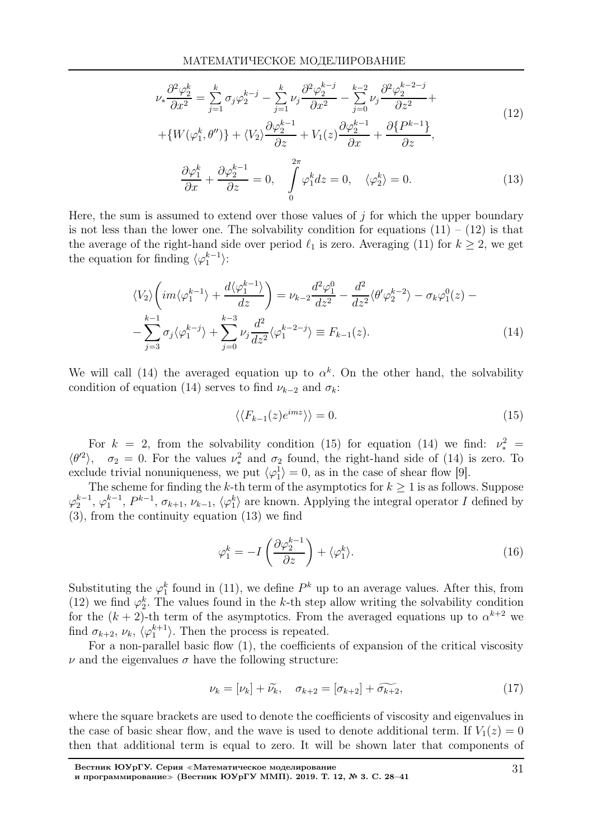$$
\nu_{*} \frac{\partial^{2} \varphi_{2}^{k}}{\partial x^{2}} = \sum_{j=1}^{k} \sigma_{j} \varphi_{2}^{k-j} - \sum_{j=1}^{k} \nu_{j} \frac{\partial^{2} \varphi_{2}^{k-j}}{\partial x^{2}} - \sum_{j=0}^{k-2} \nu_{j} \frac{\partial^{2} \varphi_{2}^{k-2-j}}{\partial z^{2}} + + \{W(\varphi_{1}^{k}, \theta'')\} + \langle V_{2} \rangle \frac{\partial \varphi_{2}^{k-1}}{\partial z} + V_{1}(z) \frac{\partial \varphi_{2}^{k-1}}{\partial x} + \frac{\partial \{P^{k-1}\}}{\partial z},
$$
(12)

$$
\frac{\partial \varphi_1^k}{\partial x} + \frac{\partial \varphi_2^{k-1}}{\partial z} = 0, \quad \int_0^{2\pi} \varphi_1^k dz = 0, \quad \langle \varphi_2^k \rangle = 0. \tag{13}
$$

Here, the sum is assumed to extend over those values of  $j$  for which the upper boundary is not less than the lower one. The solvability condition for equations  $(11) - (12)$  is that the average of the right-hand side over period  $\ell_1$  is zero. Averaging (11) for  $k \geq 2$ , we get the equation for finding  $\langle \varphi_1^{k-1} \rangle$ :

$$
\langle V_2 \rangle \left( im \langle \varphi_1^{k-1} \rangle + \frac{d \langle \varphi_1^{k-1} \rangle}{dz} \right) = \nu_{k-2} \frac{d^2 \varphi_1^0}{dz^2} - \frac{d^2}{dz^2} \langle \theta' \varphi_2^{k-2} \rangle - \sigma_k \varphi_1^0(z) - \sum_{j=3}^{k-1} \sigma_j \langle \varphi_1^{k-j} \rangle + \sum_{j=0}^{k-3} \nu_j \frac{d^2}{dz^2} \langle \varphi_1^{k-2-j} \rangle \equiv F_{k-1}(z).
$$
 (14)

We will call (14) the averaged equation up to  $\alpha^k$ . On the other hand, the solvability condition of equation (14) serves to find  $\nu_{k-2}$  and  $\sigma_k$ :

$$
\langle \langle F_{k-1}(z)e^{imz} \rangle \rangle = 0. \tag{15}
$$

For  $k = 2$ , from the solvability condition (15) for equation (14) we find:  $\nu_*^2$  $\langle \theta^2 \rangle$ ,  $\sigma_2 = 0$ . For the values  $\nu_*^2$  and  $\sigma_2$  found, the right-hand side of (14) is zero. To exclude trivial nonuniqueness, we put  $\langle \varphi_1^1 \rangle = 0$ , as in the case of shear flow [9].

The scheme for finding the k-th term of the asymptotics for  $k \geq 1$  is as follows. Suppose  $\varphi_2^{k-1}, \varphi_1^{k-1}, P^{k-1}, \sigma_{k+1}, \nu_{k-1}, \langle \varphi_1^k \rangle$  are known. Applying the integral operator I defined by (3), from the continuity equation (13) we find

$$
\varphi_1^k = -I\left(\frac{\partial \varphi_2^{k-1}}{\partial z}\right) + \langle \varphi_1^k \rangle. \tag{16}
$$

Substituting the  $\varphi_1^k$  found in (11), we define  $P^k$  up to an average values. After this, from (12) we find  $\varphi_2^k$ . The values found in the k-th step allow writing the solvability condition for the  $(k + 2)$ -th term of the asymptotics. From the averaged equations up to  $\alpha^{k+2}$  we find  $\sigma_{k+2}, \nu_k, \langle \varphi_1^{k+1} \rangle$ . Then the process is repeated.

For a non-parallel basic flow (1), the coefficients of expansion of the critical viscosity  $\nu$  and the eigenvalues  $\sigma$  have the following structure:

$$
\nu_k = [\nu_k] + \widetilde{\nu_k}, \quad \sigma_{k+2} = [\sigma_{k+2}] + \widetilde{\sigma_{k+2}}, \tag{17}
$$

where the square brackets are used to denote the coefficients of viscosity and eigenvalues in the case of basic shear flow, and the wave is used to denote additional term. If  $V_1(z) = 0$ then that additional term is equal to zero. It will be shown later that components of

Вестник ЮУрГУ. Серия <sup>≪</sup>Математическое моделирование и программирование≫ (Вестник ЮУрГУ ММП). 2019. Т. 12, № 3. С. 28–41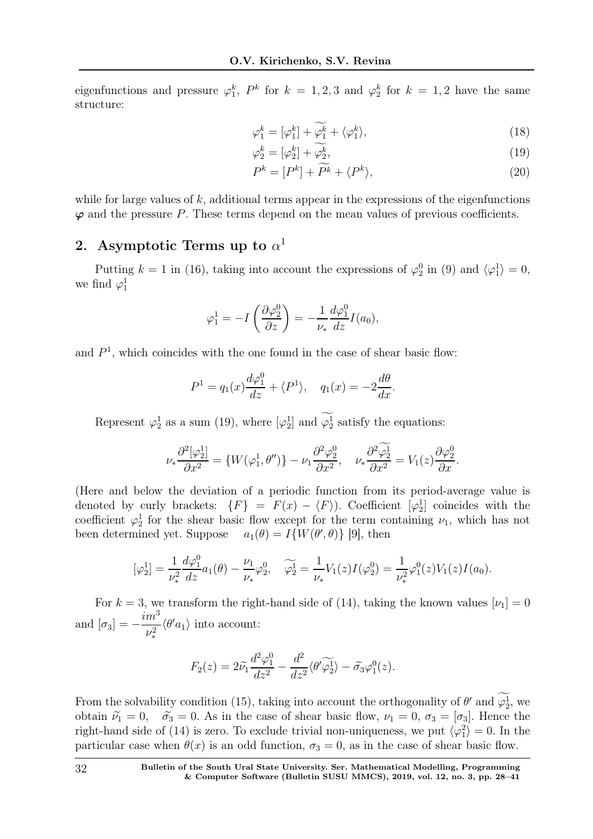eigenfunctions and pressure  $\varphi_1^k$ ,  $P^k$  for  $k = 1, 2, 3$  and  $\varphi_2^k$  for  $k = 1, 2$  have the same structure:

$$
\varphi_1^k = [\varphi_1^k] + \widetilde{\varphi_1^k} + \langle \varphi_1^k \rangle, \tag{18}
$$

$$
\varphi_2^k = [\varphi_2^k] + \varphi_2^k,\tag{19}
$$

$$
P^k = [P^k] + P^k + \langle P^k \rangle,
$$
\n(20)

while for large values of  $k$ , additional terms appear in the expressions of the eigenfunctions  $\varphi$  and the pressure P. These terms depend on the mean values of previous coefficients.

# 2. Asymptotic Terms up to  $\alpha^1$

Putting  $k = 1$  in (16), taking into account the expressions of  $\varphi_2^0$  in (9) and  $\langle \varphi_1^1 \rangle = 0$ , we find  $\varphi_1^1$ 

$$
\varphi_1^1 = -I\left(\frac{\partial \varphi_2^0}{\partial z}\right) = -\frac{1}{\nu_*} \frac{d\varphi_1^0}{dz} I(a_0),
$$

and  $P<sup>1</sup>$ , which coincides with the one found in the case of shear basic flow:

$$
P^{1} = q_{1}(x)\frac{d\varphi_{1}^{0}}{dz} + \langle P^{1} \rangle, \quad q_{1}(x) = -2\frac{d\theta}{dx}.
$$

Represent  $\varphi_2^1$  as a sum (19), where  $[\varphi_2^1]$  and  $\varphi_2^1$  satisfy the equations:

$$
\nu_*\frac{\partial^2[\varphi_2^1]}{\partial x^2} = \{W(\varphi_1^1, \theta'')\} - \nu_1\frac{\partial^2\varphi_2^0}{\partial x^2}, \quad \nu_*\frac{\partial^2\widetilde{\varphi_2^1}}{\partial x^2} = V_1(z)\frac{\partial\varphi_2^0}{\partial x}.
$$

(Here and below the deviation of a periodic function from its period-average value is denoted by curly brackets:  $\{F\} = F(x) - \langle F \rangle$ ). Coefficient  $[\varphi_2^1]$  coincides with the coefficient  $\varphi_2^1$  for the shear basic flow except for the term containing  $\nu_1$ , which has not been determined yet. Suppose  $a_1(\theta) = I\{W(\theta', \theta)\}\$  [9], then

$$
[\varphi_2^1] = \frac{1}{\nu_*^2} \frac{d\varphi_1^0}{dz} a_1(\theta) - \frac{\nu_1}{\nu_*} \varphi_2^0, \quad \widetilde{\varphi_2^1} = \frac{1}{\nu_*} V_1(z) I(\varphi_2^0) = \frac{1}{\nu_*^2} \varphi_1^0(z) V_1(z) I(a_0).
$$

For  $k = 3$ , we transform the right-hand side of (14), taking the known values  $[\nu_1] = 0$ and  $[\sigma_3] =$  $im^3$  $\nu_*^2$  $\langle \theta' a_1 \rangle$  into account:

$$
F_2(z) = 2\widetilde{\nu}_1 \frac{d^2 \varphi_1^0}{dz^2} - \frac{d^2}{dz^2} \langle \theta' \widetilde{\varphi_2^1} \rangle - \widetilde{\sigma_3} \varphi_1^0(z).
$$

From the solvability condition (15), taking into account the orthogonality of  $\theta'$  and  $\varphi_2^1$ , we obtain  $\tilde{\nu}_1 = 0$ ,  $\tilde{\sigma}_3 = 0$ . As in the case of shear basic flow,  $\nu_1 = 0$ ,  $\sigma_3 = [\sigma_3]$ . Hence the right-hand side of (14) is zero. To exclude trivial non-uniqueness, we put  $\langle \varphi_1^2 \rangle = 0$ . In the particular case when  $\theta(x)$  is an odd function,  $\sigma_3 = 0$ , as in the case of shear basic flow.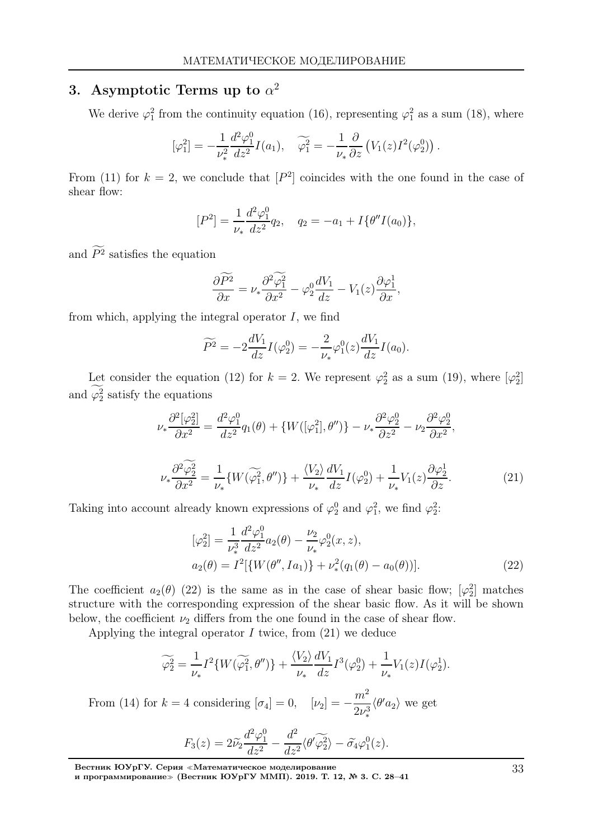# 3. Asymptotic Terms up to  $\alpha^2$

We derive  $\varphi_1^2$  from the continuity equation (16), representing  $\varphi_1^2$  as a sum (18), where

$$
[\varphi_1^2] = -\frac{1}{\nu_*^2} \frac{d^2 \varphi_1^0}{dz^2} I(a_1), \quad \widetilde{\varphi_1^2} = -\frac{1}{\nu_*} \frac{\partial}{\partial z} \left( V_1(z) I^2(\varphi_2^0) \right).
$$

From (11) for  $k = 2$ , we conclude that  $[P<sup>2</sup>]$  coincides with the one found in the case of shear flow:

$$
[P2] = \frac{1}{\nu_*} \frac{d^2 \varphi_1^0}{dz^2} q_2, \quad q_2 = -a_1 + I \{ \theta'' I(a_0) \},
$$

and  $P<sup>2</sup>$  satisfies the equation

$$
\frac{\partial \widetilde{P^2}}{\partial x} = \nu_* \frac{\partial^2 \widetilde{\varphi_1^2}}{\partial x^2} - \varphi_2^0 \frac{dV_1}{dz} - V_1(z) \frac{\partial \varphi_1^1}{\partial x},
$$

from which, applying the integral operator  $I$ , we find

$$
\widetilde{P^2} = -2\frac{dV_1}{dz}I(\varphi_2^0) = -\frac{2}{\nu_*}\varphi_1^0(z)\frac{dV_1}{dz}I(a_0).
$$

Let consider the equation (12) for  $k = 2$ . We represent  $\varphi_2^2$  as a sum (19), where  $[\varphi_2^2]$ and  $\varphi_2^2$  satisfy the equations

$$
\nu_* \frac{\partial^2 [\varphi_2^2]}{\partial x^2} = \frac{d^2 \varphi_1^0}{dz^2} q_1(\theta) + \{ W([\varphi_1^2], \theta'') \} - \nu_* \frac{\partial^2 \varphi_2^0}{\partial z^2} - \nu_2 \frac{\partial^2 \varphi_2^0}{\partial x^2},
$$
  

$$
\nu_* \frac{\partial^2 \widetilde{\varphi_2^2}}{\partial x^2} = \frac{1}{\nu_*} \{ W(\widetilde{\varphi_1^2}, \theta'') \} + \frac{\langle V_2 \rangle}{\nu_*} \frac{dV_1}{dz} I(\varphi_2^0) + \frac{1}{\nu_*} V_1(z) \frac{\partial \varphi_2^1}{\partial z}.
$$
 (21)

Taking into account already known expressions of  $\varphi_2^0$  and  $\varphi_1^2$ , we find  $\varphi_2^2$ :

$$
[\varphi_2^2] = \frac{1}{\nu_*^3} \frac{d^2 \varphi_1^0}{dz^2} a_2(\theta) - \frac{\nu_2}{\nu_*} \varphi_2^0(x, z),
$$
  
\n
$$
a_2(\theta) = I^2 [\{ W(\theta'', Ia_1) \} + \nu_*^2(q_1(\theta) - a_0(\theta))].
$$
\n(22)

The coefficient  $a_2(\theta)$  (22) is the same as in the case of shear basic flow;  $[\varphi_2^2]$  matches structure with the corresponding expression of the shear basic flow. As it will be shown below, the coefficient  $\nu_2$  differs from the one found in the case of shear flow.

Applying the integral operator  $I$  twice, from  $(21)$  we deduce

$$
\widetilde{\varphi_2^2} = \frac{1}{\nu_*} I^2 \{ W(\widetilde{\varphi_1^2}, \theta'') \} + \frac{\langle V_2 \rangle}{\nu_*} \frac{dV_1}{dz} I^3(\varphi_2^0) + \frac{1}{\nu_*} V_1(z) I(\varphi_2^1).
$$

From (14) for  $k = 4$  considering  $[\sigma_4] = 0$ ,  $[\nu_2] =$  $m<sup>2</sup>$  $2\nu_*^3$  $\langle \theta' a_2 \rangle$  we get

$$
F_3(z) = 2\widetilde{\nu}_2 \frac{d^2 \varphi_1^0}{dz^2} - \frac{d^2}{dz^2} \langle \theta' \widetilde{\varphi_2^2} \rangle - \widetilde{\sigma}_4 \varphi_1^0(z).
$$

Вестник ЮУрГУ. Серия <sup>≪</sup>Математическое моделирование

и программирование≫ (Вестник ЮУрГУ ММП). 2019. Т. 12, № 3. С. 28–41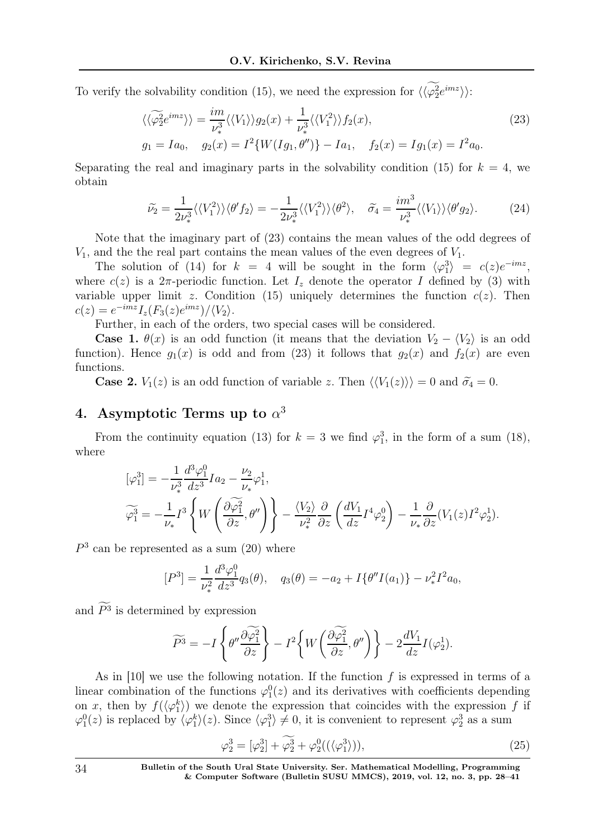To verify the solvability condition (15), we need the expression for  $\langle \langle \varphi_2^2 e^{imz} \rangle \rangle$ :

$$
\langle \langle \widetilde{\varphi}_2^2 e^{imz} \rangle \rangle = \frac{im}{\nu_*^3} \langle \langle V_1 \rangle \rangle g_2(x) + \frac{1}{\nu_*^3} \langle \langle V_1^2 \rangle \rangle f_2(x),
$$
  
\n
$$
g_1 = Ia_0, \quad g_2(x) = I^2 \{ W(Ig_1, \theta'') \} - Ia_1, \quad f_2(x) = Ig_1(x) = I^2a_0.
$$
\n(23)

Separating the real and imaginary parts in the solvability condition (15) for  $k = 4$ , we obtain

$$
\widetilde{\nu_2} = \frac{1}{2\nu_*^3} \langle \langle V_1^2 \rangle \rangle \langle \theta' f_2 \rangle = -\frac{1}{2\nu_*^3} \langle \langle V_1^2 \rangle \rangle \langle \theta^2 \rangle, \quad \widetilde{\sigma_4} = \frac{im^3}{\nu_*^3} \langle \langle V_1 \rangle \rangle \langle \theta' g_2 \rangle. \tag{24}
$$

Note that the imaginary part of (23) contains the mean values of the odd degrees of  $V_1$ , and the the real part contains the mean values of the even degrees of  $V_1$ .

The solution of (14) for  $k = 4$  will be sought in the form  $\langle \varphi_1^3 \rangle = c(z)e^{-imz}$ , where  $c(z)$  is a  $2\pi$ -periodic function. Let  $I_z$  denote the operator I defined by (3) with variable upper limit z. Condition (15) uniquely determines the function  $c(z)$ . Then  $c(z) = e^{-imz} I_z(F_3(z)e^{imz})/\langle V_2 \rangle.$ 

Further, in each of the orders, two special cases will be considered.

**Case 1.**  $\theta(x)$  is an odd function (it means that the deviation  $V_2 - \langle V_2 \rangle$  is an odd function). Hence  $g_1(x)$  is odd and from (23) it follows that  $g_2(x)$  and  $f_2(x)$  are even functions.

**Case 2.**  $V_1(z)$  is an odd function of variable z. Then  $\langle V_1(z)\rangle = 0$  and  $\tilde{\sigma}_4 = 0$ .

# 4. Asymptotic Terms up to  $\alpha^3$

From the continuity equation (13) for  $k = 3$  we find  $\varphi_1^3$ , in the form of a sum (18), where

$$
\begin{split} [\varphi_1^3] &= -\frac{1}{\nu_*^3} \frac{d^3 \varphi_1^0}{dz^3} I a_2 - \frac{\nu_2}{\nu_*} \varphi_1^1, \\ \widetilde{\varphi_1^3} &= -\frac{1}{\nu_*} I^3 \left\{ W \left( \frac{\partial \widetilde{\varphi_1^2}}{\partial z}, \theta'' \right) \right\} - \frac{\langle V_2 \rangle}{\nu_*^2} \frac{\partial}{\partial z} \left( \frac{dV_1}{dz} I^4 \varphi_2^0 \right) - \frac{1}{\nu_*} \frac{\partial}{\partial z} (V_1(z) I^2 \varphi_2^1). \end{split}
$$

 $P<sup>3</sup>$  can be represented as a sum  $(20)$  where

$$
[P3] = \frac{1}{\nu_*^2} \frac{d^3 \varphi_1^0}{dz^3} q_3(\theta), \quad q_3(\theta) = -a_2 + I\{\theta'' I(a_1)\} - \nu_*^2 I^2 a_0,
$$

and  $P<sup>3</sup>$  is determined by expression

$$
\widetilde{P}^3 = -I \left\{ \theta'' \frac{\partial \widetilde{\varphi_1^2}}{\partial z} \right\} - I^2 \left\{ W \left( \frac{\partial \widetilde{\varphi_1^2}}{\partial z}, \theta'' \right) \right\} - 2 \frac{dV_1}{dz} I(\varphi_2^1).
$$

As in  $[10]$  we use the following notation. If the function f is expressed in terms of a linear combination of the functions  $\varphi_1^0(z)$  and its derivatives with coefficients depending on x, then by  $f(\langle \varphi_1^k \rangle)$  we denote the expression that coincides with the expression f if  $\varphi_1^0(z)$  is replaced by  $\langle \varphi_1^k \rangle(z)$ . Since  $\langle \varphi_1^3 \rangle \neq 0$ , it is convenient to represent  $\varphi_2^3$  as a sum

$$
\varphi_2^3 = [\varphi_2^3] + \widetilde{\varphi_2^3} + \varphi_2^0((\langle \varphi_1^3 \rangle)), \tag{25}
$$

34 Bulletin of the South Ural State University. Ser. Mathematical Modelling, Programming & Computer Software (Bulletin SUSU MMCS), 2019, vol. 12, no. 3, pp. 28–41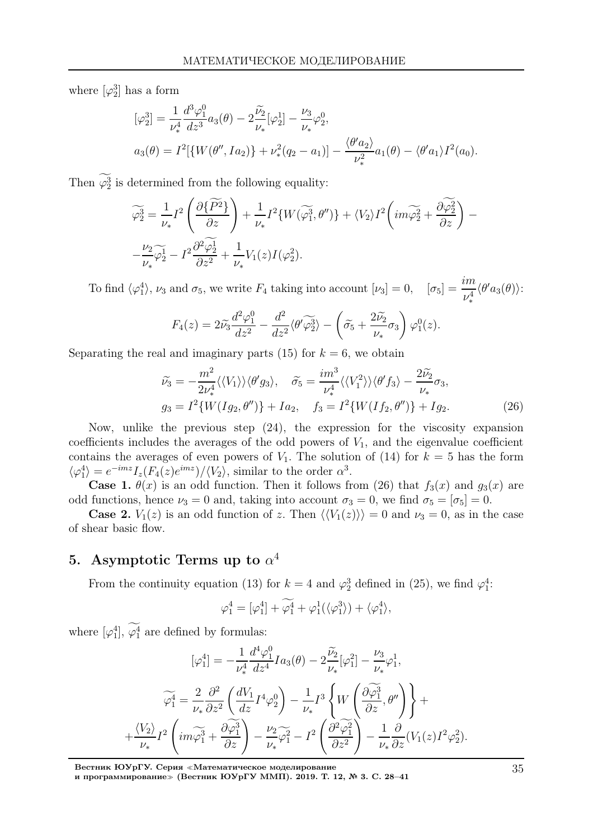where  $\left[\varphi_2^3\right]$  has a form

$$
[\varphi_2^3] = \frac{1}{\nu_*^4} \frac{d^3 \varphi_1^0}{dz^3} a_3(\theta) - 2 \frac{\tilde{\nu}_2}{\nu_*} [\varphi_2^1] - \frac{\nu_3}{\nu_*} \varphi_2^0,
$$
  

$$
a_3(\theta) = I^2 [\{W(\theta'', Ia_2)\} + \nu_*^2 (q_2 - a_1)] - \frac{\langle \theta' a_2 \rangle}{\nu_*^2} a_1(\theta) - \langle \theta' a_1 \rangle I^2(a_0).
$$

Then  $\varphi_2^3$  is determined from the following equality:

$$
\widetilde{\varphi}_2^3 = \frac{1}{\nu_*} I^2 \left( \frac{\partial \{\widetilde{P^2}\}}{\partial z} \right) + \frac{1}{\nu_*} I^2 \{ W(\widetilde{\varphi}_1^3, \theta'') \} + \langle V_2 \rangle I^2 \left( i m \widetilde{\varphi}_2^2 + \frac{\partial \widetilde{\varphi}_2^2}{\partial z} \right) -
$$
  

$$
- \frac{\nu_2}{\nu_*} \widetilde{\varphi}_2^1 - I^2 \frac{\partial^2 \widetilde{\varphi}_2^1}{\partial z^2} + \frac{1}{\nu_*} V_1(z) I(\varphi_2^2).
$$

To find  $\langle \varphi_1^4 \rangle$ ,  $\nu_3$  and  $\sigma_5$ , we write  $F_4$  taking into account  $[\nu_3] = 0$ ,  $[\sigma_5] = \frac{im}{\sigma_4}$  $\nu_*^4$  $\langle \theta' a_3(\theta) \rangle$ :

$$
F_4(z) = 2\widetilde{\nu}_3 \frac{d^2 \varphi_1^0}{dz^2} - \frac{d^2}{dz^2} \langle \theta' \widetilde{\varphi_2^3} \rangle - \left( \widetilde{\sigma_5} + \frac{2\widetilde{\nu_2}}{\nu_*} \sigma_3 \right) \varphi_1^0(z).
$$

Separating the real and imaginary parts (15) for  $k = 6$ , we obtain

$$
\widetilde{\nu}_3 = -\frac{m^2}{2\nu_*^4} \langle \langle V_1 \rangle \rangle \langle \theta' g_3 \rangle, \quad \widetilde{\sigma}_5 = \frac{im^3}{\nu_*^4} \langle \langle V_1^2 \rangle \rangle \langle \theta' f_3 \rangle - \frac{2\widetilde{\nu}_2}{\nu_*} \sigma_3,
$$
\n
$$
g_3 = I^2 \{ W(Ig_2, \theta'') \} + Ia_2, \quad f_3 = I^2 \{ W(If_2, \theta'') \} + Ig_2.
$$
\n(26)

Now, unlike the previous step (24), the expression for the viscosity expansion coefficients includes the averages of the odd powers of  $V_1$ , and the eigenvalue coefficient contains the averages of even powers of  $V_1$ . The solution of (14) for  $k = 5$  has the form  $\langle \varphi_1^4 \rangle = e^{-imz} I_z(F_4(z)e^{imz}) / \langle V_2 \rangle$ , similar to the order  $\alpha^3$ .

**Case 1.**  $\theta(x)$  is an odd function. Then it follows from (26) that  $f_3(x)$  and  $g_3(x)$  are odd functions, hence  $\nu_3 = 0$  and, taking into account  $\sigma_3 = 0$ , we find  $\sigma_5 = [\sigma_5] = 0$ .

**Case 2.**  $V_1(z)$  is an odd function of z. Then  $\langle V_1(z)\rangle = 0$  and  $\nu_3 = 0$ , as in the case of shear basic flow.

# 5. Asymptotic Terms up to  $\alpha^4$

From the continuity equation (13) for  $k = 4$  and  $\varphi_2^3$  defined in (25), we find  $\varphi_1^4$ :

$$
\varphi_1^4 = [\varphi_1^4] + \widetilde{\varphi_1^4} + \varphi_1^1(\langle \varphi_1^3 \rangle) + \langle \varphi_1^4 \rangle,
$$

where  $[\varphi_1^4]$ ,  $\varphi_1^4$  are defined by formulas:

$$
[\varphi_1^4] = -\frac{1}{\nu_*^4} \frac{d^4 \varphi_1^0}{dz^4} I a_3(\theta) - 2 \frac{\widetilde{\nu}_2}{\nu_*} [\varphi_1^2] - \frac{\nu_3}{\nu_*} \varphi_1^1,
$$
  

$$
\widetilde{\varphi_1^4} = \frac{2}{\nu_*} \frac{\partial^2}{\partial z^2} \left( \frac{dV_1}{dz} I^4 \varphi_2^0 \right) - \frac{1}{\nu_*} I^3 \left\{ W \left( \frac{\partial \widetilde{\varphi_1^3}}{\partial z}, \theta'' \right) \right\} +
$$

$$
+ \frac{\langle V_2 \rangle}{\nu_*} I^2 \left( i m \widetilde{\varphi_1^3} + \frac{\partial \widetilde{\varphi_1^3}}{\partial z} \right) - \frac{\nu_2}{\nu_*} \widetilde{\varphi_1^2} - I^2 \left( \frac{\partial^2 \widetilde{\varphi_1^2}}{\partial z^2} \right) - \frac{1}{\nu_*} \frac{\partial}{\partial z} (V_1(z) I^2 \varphi_2^2).
$$

Вестник ЮУрГУ. Серия <sup>≪</sup>Математическое моделирование

и программирование<sup>≫</sup> (Вестник ЮУрГУ ММП). 2019. Т. 12, № 3. С. 28–41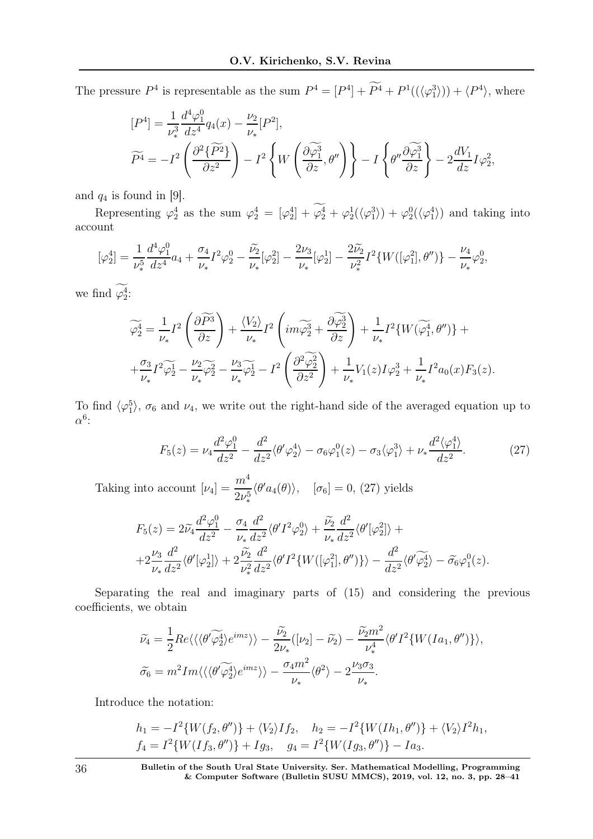The pressure  $P^4$  is representable as the sum  $P^4 = [P^4] + P^4 + P^1((\langle \varphi_1^3 \rangle) + \langle P^4 \rangle$ , where

$$
[P4] = \frac{1}{\nu_*^3} \frac{d^4 \varphi_1^0}{dz^4} q_4(x) - \frac{\nu_2}{\nu_*} [P^2],
$$
  

$$
\widetilde{P^4} = -I^2 \left( \frac{\partial^2 \{\widetilde{P^2}\}}{\partial z^2} \right) - I^2 \left\{ W \left( \frac{\partial \widetilde{\varphi_1^3}}{\partial z}, \theta'' \right) \right\} - I \left\{ \theta'' \frac{\partial \widetilde{\varphi_1^3}}{\partial z} \right\} - 2 \frac{dV_1}{dz} I \varphi_2^2,
$$

and  $q_4$  is found in [9].

Representing  $\varphi_2^4$  as the sum  $\varphi_2^4 = [\varphi_2^4] + \varphi_2^4 + \varphi_2^1(\langle \varphi_1^3 \rangle) + \varphi_2^0(\langle \varphi_1^4 \rangle)$  and taking into account

$$
[\varphi_2^4] = \frac{1}{\nu_*^5} \frac{d^4 \varphi_1^0}{dz^4} a_4 + \frac{\sigma_4}{\nu_*} I^2 \varphi_2^0 - \frac{\widetilde{\nu_2}}{\nu_*} [\varphi_2^2] - \frac{2\nu_3}{\nu_*} [\varphi_2^1] - \frac{2\widetilde{\nu_2}}{\nu_*^2} I^2 \{ W([\varphi_1^2], \theta'') \} - \frac{\nu_4}{\nu_*} \varphi_2^0,
$$

we find  $\varphi_2^4$ :

$$
\widetilde{\varphi}_2^4 = \frac{1}{\nu_*} I^2 \left( \frac{\partial \widetilde{P^3}}{\partial z} \right) + \frac{\langle V_2 \rangle}{\nu_*} I^2 \left( i m \widetilde{\varphi}_2^3 + \frac{\partial \widetilde{\varphi}_2^3}{\partial z} \right) + \frac{1}{\nu_*} I^2 \{ W(\widetilde{\varphi}_1^4, \theta'') \} + + \frac{\sigma_3}{\nu_*} I^2 \widetilde{\varphi}_2^1 - \frac{\nu_2}{\nu_*} \widetilde{\varphi}_2^2 - \frac{\nu_3}{\nu_*} \widetilde{\varphi}_2^1 - I^2 \left( \frac{\partial^2 \widetilde{\varphi}_2^2}{\partial z^2} \right) + \frac{1}{\nu_*} V_1(z) I \varphi_2^3 + \frac{1}{\nu_*} I^2 a_0(x) F_3(z).
$$

To find  $\langle \varphi_1^5 \rangle$ ,  $\sigma_6$  and  $\nu_4$ , we write out the right-hand side of the averaged equation up to  $\alpha^6$ :

$$
F_5(z) = \nu_4 \frac{d^2 \varphi_1^0}{dz^2} - \frac{d^2}{dz^2} \langle \theta' \varphi_2^4 \rangle - \sigma_6 \varphi_1^0(z) - \sigma_3 \langle \varphi_1^3 \rangle + \nu_* \frac{d^2 \langle \varphi_1^4 \rangle}{dz^2}.
$$
 (27)

Taking into account  $[\nu_4] = \frac{m^4}{2\pi^4}$  $2\nu_*^5$  $\langle \theta' a_4(\theta) \rangle$ ,  $[\sigma_6] = 0$ , (27) yields

$$
F_5(z) = 2\tilde{\nu}_4 \frac{d^2 \varphi_1^0}{dz^2} - \frac{\sigma_4}{\nu_*} \frac{d^2}{dz^2} \langle \theta' I^2 \varphi_2^0 \rangle + \frac{\tilde{\nu}_2}{\nu_*} \frac{d^2}{dz^2} \langle \theta' [\varphi_2^2] \rangle +
$$
  
+2 $\frac{\nu_3}{\nu_*} \frac{d^2}{dz^2} \langle \theta' [\varphi_2^1] \rangle + 2 \frac{\tilde{\nu}_2}{\nu_*^2} \frac{d^2}{dz^2} \langle \theta' I^2 \{ W([\varphi_1^2], \theta'') \} \rangle - \frac{d^2}{dz^2} \langle \theta' \widetilde{\varphi_2^4} \rangle - \tilde{\sigma_6} \varphi_1^0(z).$ 

Separating the real and imaginary parts of (15) and considering the previous coefficients, we obtain

$$
\widetilde{\nu_4} = \frac{1}{2} Re \langle \langle \langle \theta' \widetilde{\varphi_2^4} \rangle e^{imz} \rangle \rangle - \frac{\widetilde{\nu_2}}{2\nu_*} (|\nu_2| - \widetilde{\nu_2}) - \frac{\widetilde{\nu_2} m^2}{\nu_*^4} \langle \theta' I^2 \{ W(Ia_1, \theta'') \} \rangle,
$$
  

$$
\widetilde{\sigma_6} = m^2 Im \langle \langle \langle \theta' \widetilde{\varphi_2^4} \rangle e^{imz} \rangle \rangle - \frac{\sigma_4 m^2}{\nu_*} \langle \theta^2 \rangle - 2 \frac{\nu_3 \sigma_3}{\nu_*}.
$$

Introduce the notation:

$$
h_1 = -I^2 \{ W(f_2, \theta'') \} + \langle V_2 \rangle I f_2, \quad h_2 = -I^2 \{ W(Ih_1, \theta'') \} + \langle V_2 \rangle I^2 h_1, f_4 = I^2 \{ W(If_3, \theta'') \} + Ig_3, \quad g_4 = I^2 \{ W(Ig_3, \theta'') \} - Ia_3.
$$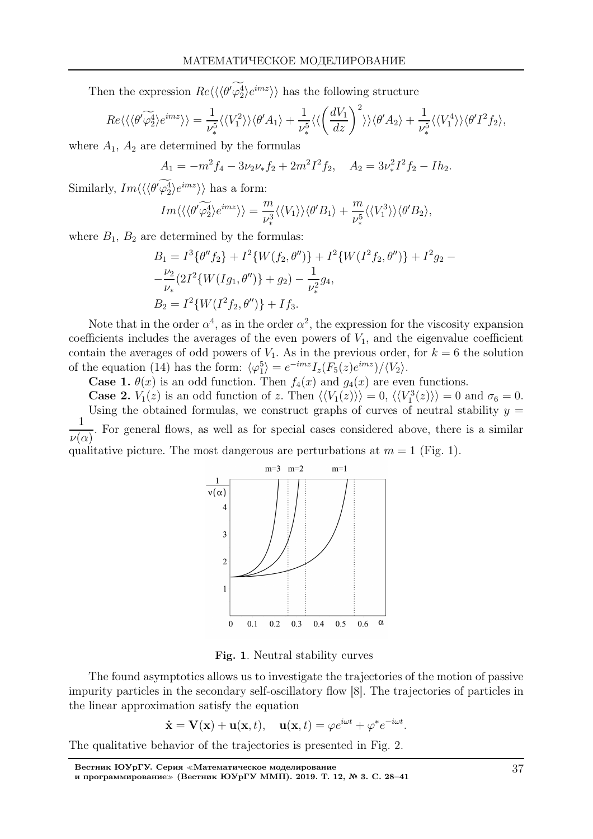Then the expression  $Re\langle\langle\langle \theta'\varphi_2^4\rangle e^{imz}\rangle\rangle$  has the following structure

$$
Re\langle\langle\langle\theta'\widetilde{\varphi_2^4}\rangle e^{imz}\rangle\rangle = \frac{1}{\nu_*^5} \langle\langle V_1^2\rangle\rangle \langle\theta'A_1\rangle + \frac{1}{\nu_*^5} \langle\langle\left(\frac{dV_1}{dz}\right)^2\rangle\rangle \langle\theta'A_2\rangle + \frac{1}{\nu_*^5} \langle\langle V_1^4\rangle\rangle \langle\theta'I^2f_2\rangle,
$$

where  $A_1$ ,  $A_2$  are determined by the formulas

$$
A_1 = -m^2 f_4 - 3\nu_2 \nu_* f_2 + 2m^2 I^2 f_2, \quad A_2 = 3\nu_*^2 I^2 f_2 - I h_2.
$$

Similarly,  $Im\langle\langle\langle \theta'\varphi_2^4\rangle e^{imz}\rangle\rangle$  has a form:

$$
Im\langle\langle\langle\theta'\widetilde{\varphi_2^4}\rangle e^{imz}\rangle\rangle=\frac{m}{\nu_*^3}\langle\langle V_1\rangle\rangle\langle\theta'B_1\rangle+\frac{m}{\nu_*^5}\langle\langle V_1^3\rangle\rangle\langle\theta'B_2\rangle,
$$

where  $B_1, B_2$  are determined by the formulas:

$$
B_1 = I^3 \{ \theta'' f_2 \} + I^2 \{ W(f_2, \theta'') \} + I^2 \{ W(I^2 f_2, \theta'') \} + I^2 g_2 -
$$
  

$$
- \frac{\nu_2}{\nu_*} (2I^2 \{ W(Ig_1, \theta'') \} + g_2) - \frac{1}{\nu_*^2} g_4,
$$
  

$$
B_2 = I^2 \{ W(I^2 f_2, \theta'') \} + I f_3.
$$

Note that in the order  $\alpha^4$ , as in the order  $\alpha^2$ , the expression for the viscosity expansion coefficients includes the averages of the even powers of  $V_1$ , and the eigenvalue coefficient contain the averages of odd powers of  $V_1$ . As in the previous order, for  $k = 6$  the solution of the equation (14) has the form:  $\langle \varphi_1^5 \rangle = e^{-imz} I_z(F_5(z)e^{imz}) / \langle V_2 \rangle$ .

**Case 1.**  $\theta(x)$  is an odd function. Then  $f_4(x)$  and  $g_4(x)$  are even functions.

**Case 2.**  $V_1(z)$  is an odd function of z. Then  $\langle V_1(z) \rangle = 0$ ,  $\langle V_1^3(z) \rangle = 0$  and  $\sigma_6 = 0$ . Using the obtained formulas, we construct graphs of curves of neutral stability  $y =$ 1  $\nu(\alpha)$ . For general flows, as well as for special cases considered above, there is a similar qualitative picture. The most dangerous are perturbations at  $m = 1$  (Fig. 1).



Fig. 1. Neutral stability curves

The found asymptotics allows us to investigate the trajectories of the motion of passive impurity particles in the secondary self-oscillatory flow [8]. The trajectories of particles in the linear approximation satisfy the equation

$$
\dot{\mathbf{x}} = \mathbf{V}(\mathbf{x}) + \mathbf{u}(\mathbf{x}, t), \quad \mathbf{u}(\mathbf{x}, t) = \varphi e^{i\omega t} + \varphi^* e^{-i\omega t}.
$$

The qualitative behavior of the trajectories is presented in Fig. 2.

Вестник ЮУрГУ. Серия <sup>≪</sup>Математическое моделирование и программирование<sup>≫</sup> (Вестник ЮУрГУ ММП). 2019. Т. 12, № 3. С. 28–41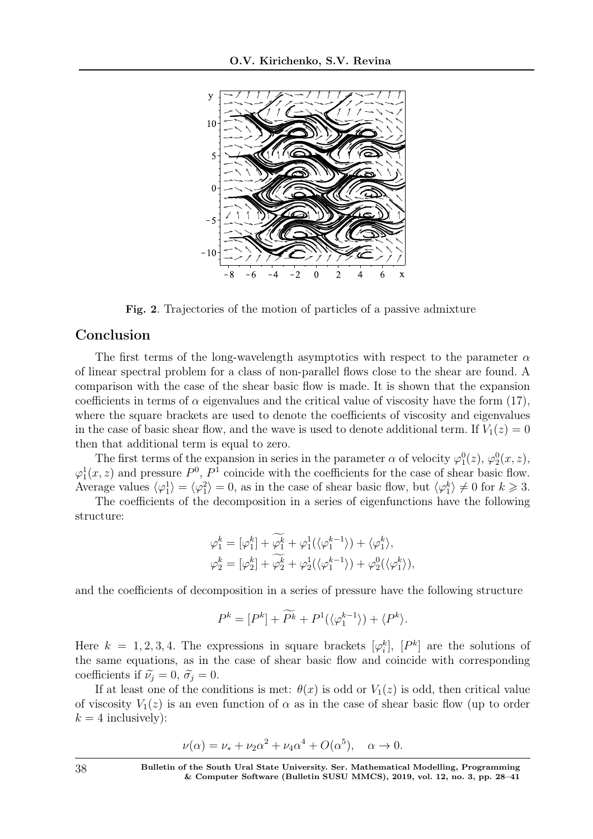

Fig. 2. Trajectories of the motion of particles of a passive admixture

#### Conclusion

The first terms of the long-wavelength asymptotics with respect to the parameter  $\alpha$ of linear spectral problem for a class of non-parallel flows close to the shear are found. A comparison with the case of the shear basic flow is made. It is shown that the expansion coefficients in terms of  $\alpha$  eigenvalues and the critical value of viscosity have the form (17), where the square brackets are used to denote the coefficients of viscosity and eigenvalues in the case of basic shear flow, and the wave is used to denote additional term. If  $V_1(z) = 0$ then that additional term is equal to zero.

The first terms of the expansion in series in the parameter  $\alpha$  of velocity  $\varphi_1^0(z)$ ,  $\varphi_2^0(x, z)$ ,  $\varphi_1^1(x, z)$  and pressure  $P^0$ ,  $P^1$  coincide with the coefficients for the case of shear basic flow. Average values  $\langle \varphi_1^1 \rangle = \langle \varphi_1^2 \rangle = 0$ , as in the case of shear basic flow, but  $\langle \varphi_1^k \rangle \neq 0$  for  $k \geq 3$ .

The coefficients of the decomposition in a series of eigenfunctions have the following structure:

$$
\begin{aligned} \varphi_1^k &= [\varphi_1^k] + \widetilde{\varphi_1^k} + \varphi_1^1(\langle \varphi_1^{k-1} \rangle) + \langle \varphi_1^k \rangle, \\ \varphi_2^k &= [\varphi_2^k] + \widetilde{\varphi_2^k} + \varphi_2^1(\langle \varphi_1^{k-1} \rangle) + \varphi_2^0(\langle \varphi_1^k \rangle), \end{aligned}
$$

and the coefficients of decomposition in a series of pressure have the following structure

$$
P^k = [P^k] + \widetilde{P^k} + P^1(\langle \varphi_1^{k-1} \rangle) + \langle P^k \rangle.
$$

Here  $k = 1, 2, 3, 4$ . The expressions in square brackets  $[\varphi_i^k]$ ,  $[P^k]$  are the solutions of the same equations, as in the case of shear basic flow and coincide with corresponding coefficients if  $\tilde{\nu}_i = 0$ ,  $\tilde{\sigma}_i = 0$ .

If at least one of the conditions is met:  $\theta(x)$  is odd or  $V_1(z)$  is odd, then critical value of viscosity  $V_1(z)$  is an even function of  $\alpha$  as in the case of shear basic flow (up to order  $k = 4$  inclusively):

$$
\nu(\alpha) = \nu_* + \nu_2 \alpha^2 + \nu_4 \alpha^4 + O(\alpha^5), \quad \alpha \to 0.
$$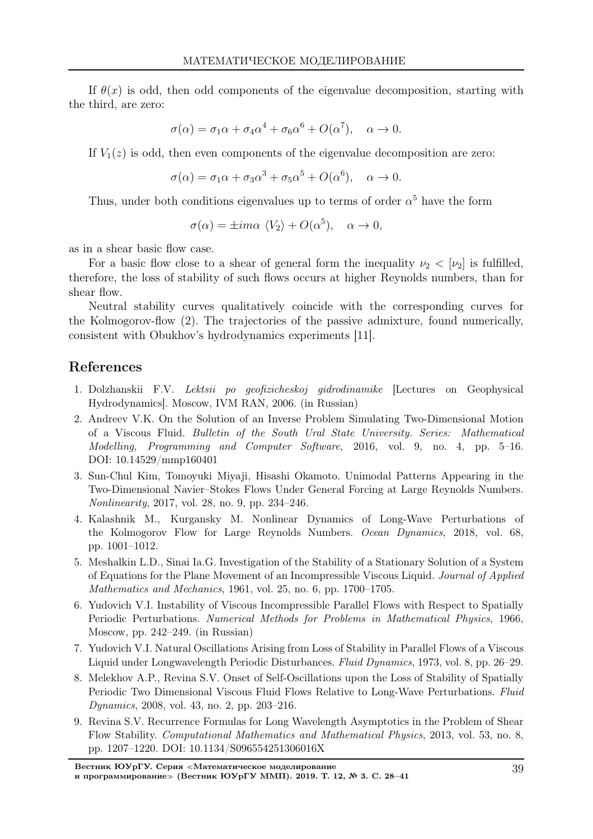If  $\theta(x)$  is odd, then odd components of the eigenvalue decomposition, starting with the third, are zero:

$$
\sigma(\alpha) = \sigma_1 \alpha + \sigma_4 \alpha^4 + \sigma_6 \alpha^6 + O(\alpha^7), \quad \alpha \to 0.
$$

If  $V_1(z)$  is odd, then even components of the eigenvalue decomposition are zero:

$$
\sigma(\alpha) = \sigma_1 \alpha + \sigma_3 \alpha^3 + \sigma_5 \alpha^5 + O(\alpha^6), \quad \alpha \to 0.
$$

Thus, under both conditions eigenvalues up to terms of order  $\alpha^5$  have the form

$$
\sigma(\alpha) = \pm im\alpha \langle V_2 \rangle + O(\alpha^5), \quad \alpha \to 0,
$$

as in a shear basic flow case.

For a basic flow close to a shear of general form the inequality  $\nu_2 < [\nu_2]$  is fulfilled, therefore, the loss of stability of such flows occurs at higher Reynolds numbers, than for shear flow.

Neutral stability curves qualitatively coincide with the corresponding curves for the Kolmogorov-flow (2). The trajectories of the passive admixture, found numerically, consistent with Obukhov's hydrodynamics experiments [11].

#### References

- 1. Dolzhanskii F.V. Lektsii po geofizicheskoj gidrodinamike [Lectures on Geophysical Hydrodynamics]. Moscow, IVM RAN, 2006. (in Russian)
- 2. Andreev V.K. On the Solution of an Inverse Problem Simulating Two-Dimensional Motion of a Viscous Fluid. Bulletin of the South Ural State University. Series: Mathematical Modelling, Programming and Computer Software, 2016, vol. 9, no. 4, pp. 5–16. DOI: 10.14529/mmp160401
- 3. Sun-Chul Kim, Tomoyuki Miyaji, Hisashi Okamoto. Unimodal Patterns Appearing in the Two-Dimensional Navier–Stokes Flows Under General Forcing at Large Reynolds Numbers. Nonlinearity, 2017, vol. 28, no. 9, pp. 234–246.
- 4. Kalashnik M., Kurgansky M. Nonlinear Dynamics of Long-Wave Perturbations of the Kolmogorov Flow for Large Reynolds Numbers. Ocean Dynamics, 2018, vol. 68, pp. 1001–1012.
- 5. Meshalkin L.D., Sinai Ia.G. Investigation of the Stability of a Stationary Solution of a System of Equations for the Plane Movement of an Incompressible Viscous Liquid. Journal of Applied Mathematics and Mechanics, 1961, vol. 25, no. 6, pp. 1700–1705.
- 6. Yudovich V.I. Instability of Viscous Incompressible Parallel Flows with Respect to Spatially Periodic Perturbations. Numerical Methods for Problems in Mathematical Physics, 1966, Moscow, pp. 242–249. (in Russian)
- 7. Yudovich V.I. Natural Oscillations Arising from Loss of Stability in Parallel Flows of a Viscous Liquid under Longwavelength Periodic Disturbances. Fluid Dynamics, 1973, vol. 8, pp. 26–29.
- 8. Melekhov A.P., Revina S.V. Onset of Self-Oscillations upon the Loss of Stability of Spatially Periodic Two Dimensional Viscous Fluid Flows Relative to Long-Wave Perturbations. Fluid Dynamics, 2008, vol. 43, no. 2, pp. 203–216.
- 9. Revina S.V. Recurrence Formulas for Long Wavelength Asymptotics in the Problem of Shear Flow Stability. Computational Mathematics and Mathematical Physics, 2013, vol. 53, no. 8, pp. 1207–1220. DOI: 10.1134/S096554251306016X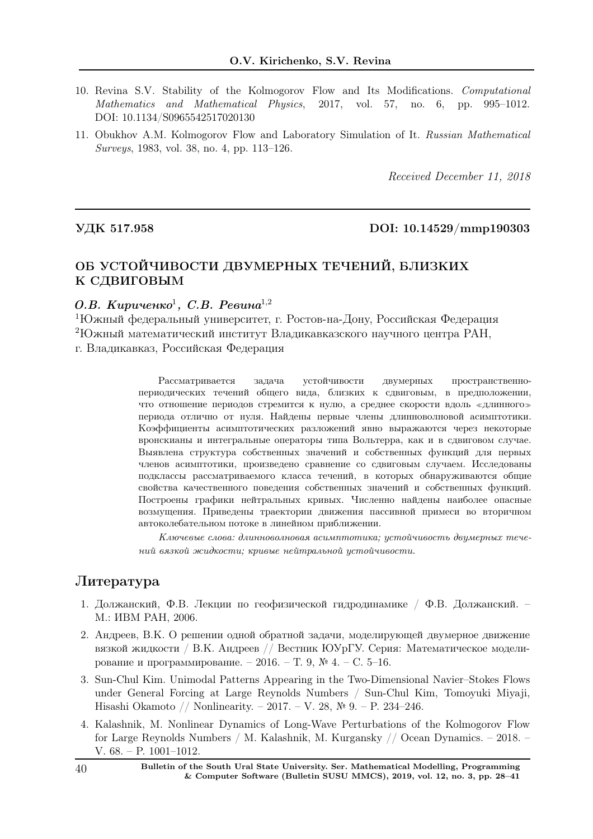- 10. Revina S.V. Stability of the Kolmogorov Flow and Its Modifications. Computational Mathematics and Mathematical Physics, 2017, vol. 57, no. 6, pp. 995–1012. DOI: 10.1134/S0965542517020130
- 11. Obukhov A.M. Kolmogorov Flow and Laboratory Simulation of It. Russian Mathematical Surveys, 1983, vol. 38, no. 4, pp. 113–126.

Received December 11, 2018

#### УДК 517.958 DOI: 10.14529/mmp190303

### ОБ УСТОЙЧИВОСТИ ДВУМЕРНЫХ ТЕЧЕНИЙ, БЛИЗКИХ К СДВИГОВЫМ

### О.В. Кириченко<sup>1</sup>, С.В. Ревина<sup>1,2</sup>

<sup>1</sup>Южный федеральный университет, г. Ростов-на-Дону, Российская Федерация <sup>2</sup>Южный математический институт Владикавказского научного центра РАН, г. Владикавказ, Российская Федерация

> Рассматривается задача устойчивости двумерных пространственнопериодических течений общего вида, близких к сдвиговым, в предположении, что отношение периодов стремится к нулю, а среднее скорости вдоль <sup>≪</sup>длинного<sup>≫</sup> периода отлично от нуля. Найдены первые члены длинноволновой асимптотики. Коэффициенты асимптотических разложений явно выражаются через некоторые вронскианы и интегральные операторы типа Вольтерра, как и в сдвиговом случае. Выявлена структура собственных значений и собственных функций для первых членов асимптотики, произведено сравнение со сдвиговым случаем. Исследованы подклассы рассматриваемого класса течений, в которых обнаруживаются общие свойства качественного поведения собственных значений и собственных функций. Построены графики нейтральных кривых. Численно найдены наиболее опасные возмущения. Приведены траектории движения пассивной примеси во вторичном автоколебательном потоке в линейном приближении.

> Ключевые слова: длинноволновая асимптотика; устойчивость двумерных течений вязкой жидкости; кривые нейтральной устойчивости.

#### Литература

- 1. Должанский, Ф.В. Лекции по геофизической гидродинамике / Ф.В. Должанский. М.: ИВМ РАН, 2006.
- 2. Андреев, В.К. О решении одной обратной задачи, моделирующей двумерное движение вязкой жидкости / В.К. Андреев // Вестник ЮУрГУ. Серия: Математическое моделирование и программирование. – 2016. – Т. 9, № 4. – С. 5–16.
- 3. Sun-Chul Kim. Unimodal Patterns Appearing in the Two-Dimensional Navier–Stokes Flows under General Forcing at Large Reynolds Numbers / Sun-Chul Kim, Tomoyuki Miyaji, Hisashi Okamoto // Nonlinearity. – 2017. – V. 28, № 9. – P. 234–246.
- 4. Kalashnik, M. Nonlinear Dynamics of Long-Wave Perturbations of the Kolmogorov Flow for Large Reynolds Numbers / M. Kalashnik, M. Kurgansky // Ocean Dynamics. – 2018. – V. 68. – P. 1001–1012.